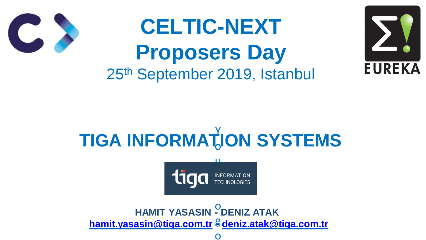# **CELTIC-NEXT Proposers Day** 25th September 2019, Istanbul

#### **TIGA INFORMATION SYSTEMS** Y o

### NF<br>FFC L

### **HAMIT YASASIN - DENIZ ATAK [hamit.yasasin@tiga.com.tr](mailto:hamit.yasasin@tiga.com.tr) - [deniz.atak@tiga.com.tr](mailto:deniz.atak@tiga.com.tr)** g o





u

o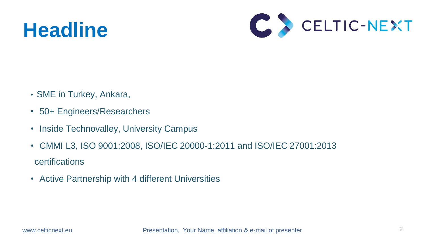## **Headline**

- SME in Turkey, Ankara,
- 50+ Engineers/Researchers
- Inside Technovalley, University Campus
- CMMI L3, ISO 9001:2008, ISO/IEC 20000-1:2011 and ISO/IEC 27001:2013 **certifications**
- Active Partnership with 4 different Universities

www.celticnext.eu Presentation, Your Name, affiliation & e-mail of presenter



2

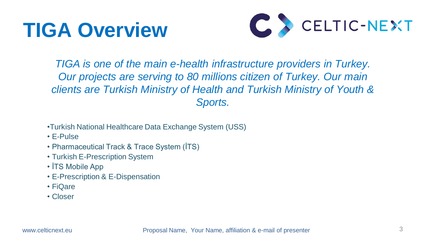## **TIGA Overview**

3

www.celticnext.eu Proposal Name, Your Name, affiliation & e-mail of presenter

*TIGA is one of the main e-health infrastructure providers in Turkey. Our projects are serving to 80 millions citizen of Turkey. Our main clients are Turkish Ministry of Health and Turkish Ministry of Youth & Sports.*

- •Turkish National Healthcare Data Exchange System (USS)
- E-Pulse
- Pharmaceutical Track & Trace System (İTS)
- Turkish E-Prescription System
- **ITS Mobile App**
- E-Prescription & E-Dispensation
- FiQare
- Closer

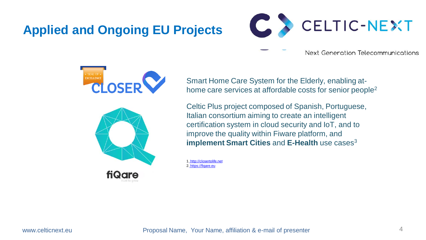## **Applied and Ongoing EU Projects**





Smart Home Care System for the Elderly, enabling athome care services at affordable costs for senior people 2

www.celticnext.eu Proposal Name, Your Name, affiliation & e-mail of presenter 4





Celtic Plus project composed of Spanish, Portuguese, Italian consortium aiming to create an intelligent certification system in cloud security and IoT, and to improve the quality within Fiware platform, and **implement Smart Cities** and **E-Health** use cases 3

1. [http://closertolife.net](http://closertolife.net/) 2. [https://fiqare.eu](https://fiqare.eu/)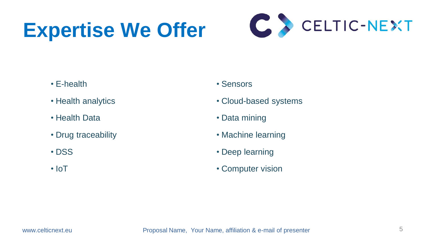# **Expertise We Offer**

- E-health
- Health analytics
- Health Data
- Drug traceability
- DSS
- IoT

www.celticnext.eu Proposal Name, Your Name, affiliation & e-mail of presenter 5



- Sensors
- Cloud-based systems
- Data mining
- Machine learning
- Deep learning
- Computer vision



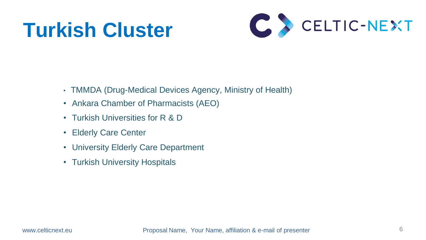# **Turkish Cluster**



- TMMDA (Drug-Medical Devices Agency, Ministry of Health)
- Ankara Chamber of Pharmacists (AEO)
- Turkish Universities for R & D
- Elderly Care Center
- University Elderly Care Department
- Turkish University Hospitals



www.celticnext.eu **Proposal Name, Your Name, affiliation & e-mail of presenter**